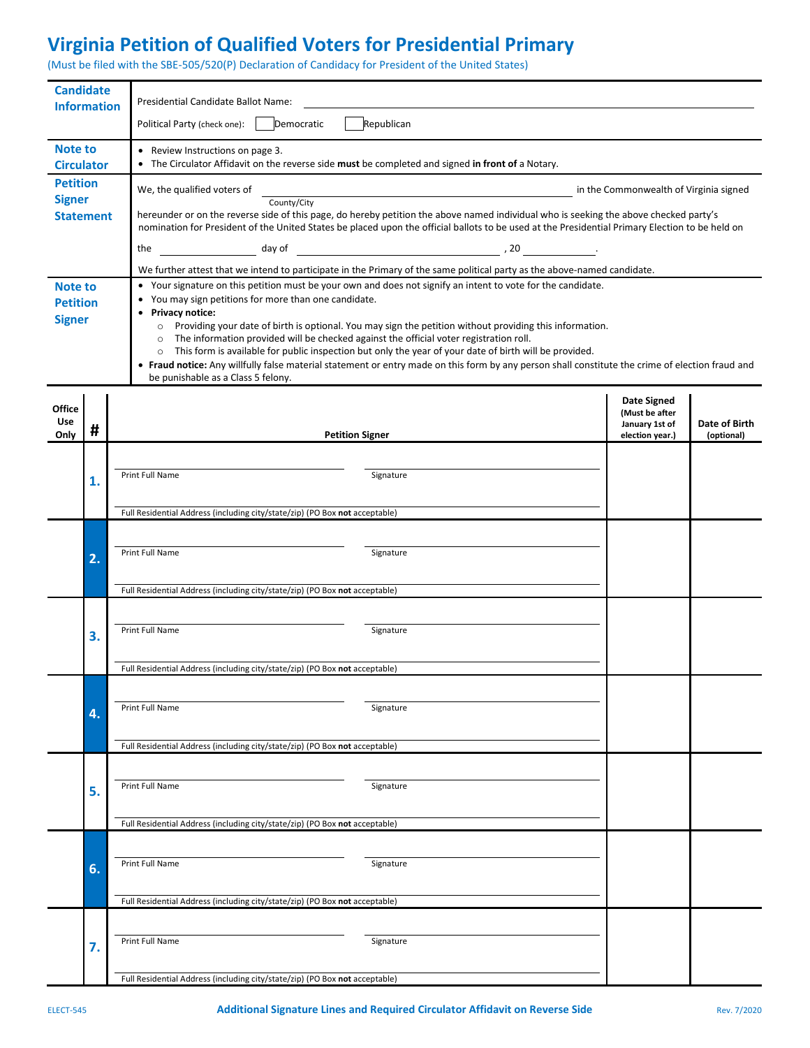## **Virginia Petition of Qualified Voters for Presidential Primary**

(Must be filed with the SBE-505/520(P) Declaration of Candidacy for President of the United States)

| <b>Candidate</b><br><b>Information</b>             |    | Presidential Candidate Ballot Name:                                                                                                                                                                                                                                                                                                                                                                                                                                                                                                                                                                                                                                                                                                           |                                                                           |                             |  |  |  |  |
|----------------------------------------------------|----|-----------------------------------------------------------------------------------------------------------------------------------------------------------------------------------------------------------------------------------------------------------------------------------------------------------------------------------------------------------------------------------------------------------------------------------------------------------------------------------------------------------------------------------------------------------------------------------------------------------------------------------------------------------------------------------------------------------------------------------------------|---------------------------------------------------------------------------|-----------------------------|--|--|--|--|
|                                                    |    | Republican<br>Democratic<br>Political Party (check one):                                                                                                                                                                                                                                                                                                                                                                                                                                                                                                                                                                                                                                                                                      |                                                                           |                             |  |  |  |  |
| Note to<br><b>Circulator</b>                       |    | • Review Instructions on page 3.<br>• The Circulator Affidavit on the reverse side must be completed and signed in front of a Notary.                                                                                                                                                                                                                                                                                                                                                                                                                                                                                                                                                                                                         |                                                                           |                             |  |  |  |  |
| <b>Petition</b>                                    |    | We, the qualified voters of                                                                                                                                                                                                                                                                                                                                                                                                                                                                                                                                                                                                                                                                                                                   | in the Commonwealth of Virginia signed                                    |                             |  |  |  |  |
| <b>Signer</b>                                      |    | County/City                                                                                                                                                                                                                                                                                                                                                                                                                                                                                                                                                                                                                                                                                                                                   |                                                                           |                             |  |  |  |  |
| <b>Statement</b>                                   |    | hereunder or on the reverse side of this page, do hereby petition the above named individual who is seeking the above checked party's<br>nomination for President of the United States be placed upon the official ballots to be used at the Presidential Primary Election to be held on                                                                                                                                                                                                                                                                                                                                                                                                                                                      |                                                                           |                             |  |  |  |  |
|                                                    |    | $\frac{1}{2}$ day of $\frac{1}{2}$ and $\frac{1}{2}$ and $\frac{1}{2}$ and $\frac{1}{2}$ and $\frac{1}{2}$ and $\frac{1}{2}$ and $\frac{1}{2}$ and $\frac{1}{2}$ and $\frac{1}{2}$ and $\frac{1}{2}$ and $\frac{1}{2}$ and $\frac{1}{2}$ and $\frac{1}{2}$ and $\frac{1}{2}$ and $\frac{1}{2}$<br>the                                                                                                                                                                                                                                                                                                                                                                                                                                         |                                                                           |                             |  |  |  |  |
|                                                    |    | We further attest that we intend to participate in the Primary of the same political party as the above-named candidate.                                                                                                                                                                                                                                                                                                                                                                                                                                                                                                                                                                                                                      |                                                                           |                             |  |  |  |  |
| <b>Note to</b><br><b>Petition</b><br><b>Signer</b> |    | • Your signature on this petition must be your own and does not signify an intent to vote for the candidate.<br>You may sign petitions for more than one candidate.<br>Privacy notice:<br>$\bullet$<br>Providing your date of birth is optional. You may sign the petition without providing this information.<br>$\circ$<br>The information provided will be checked against the official voter registration roll.<br>$\circ$<br>This form is available for public inspection but only the year of your date of birth will be provided.<br>$\circ$<br>• Fraud notice: Any willfully false material statement or entry made on this form by any person shall constitute the crime of election fraud and<br>be punishable as a Class 5 felony. |                                                                           |                             |  |  |  |  |
| <b>Office</b><br>Use<br>Only                       | #  | <b>Petition Signer</b>                                                                                                                                                                                                                                                                                                                                                                                                                                                                                                                                                                                                                                                                                                                        | <b>Date Signed</b><br>(Must be after<br>January 1st of<br>election year.) | Date of Birth<br>(optional) |  |  |  |  |
|                                                    |    |                                                                                                                                                                                                                                                                                                                                                                                                                                                                                                                                                                                                                                                                                                                                               |                                                                           |                             |  |  |  |  |
|                                                    | 1. | Print Full Name<br>Signature                                                                                                                                                                                                                                                                                                                                                                                                                                                                                                                                                                                                                                                                                                                  |                                                                           |                             |  |  |  |  |
|                                                    |    |                                                                                                                                                                                                                                                                                                                                                                                                                                                                                                                                                                                                                                                                                                                                               |                                                                           |                             |  |  |  |  |
|                                                    |    | Full Residential Address (including city/state/zip) (PO Box not acceptable)                                                                                                                                                                                                                                                                                                                                                                                                                                                                                                                                                                                                                                                                   |                                                                           |                             |  |  |  |  |
|                                                    | 2. |                                                                                                                                                                                                                                                                                                                                                                                                                                                                                                                                                                                                                                                                                                                                               |                                                                           |                             |  |  |  |  |
|                                                    |    | Print Full Name<br>Signature                                                                                                                                                                                                                                                                                                                                                                                                                                                                                                                                                                                                                                                                                                                  |                                                                           |                             |  |  |  |  |
|                                                    |    |                                                                                                                                                                                                                                                                                                                                                                                                                                                                                                                                                                                                                                                                                                                                               |                                                                           |                             |  |  |  |  |
|                                                    |    | Full Residential Address (including city/state/zip) (PO Box not acceptable)                                                                                                                                                                                                                                                                                                                                                                                                                                                                                                                                                                                                                                                                   |                                                                           |                             |  |  |  |  |
|                                                    |    |                                                                                                                                                                                                                                                                                                                                                                                                                                                                                                                                                                                                                                                                                                                                               |                                                                           |                             |  |  |  |  |
|                                                    | 3. | Print Full Name<br>Signature                                                                                                                                                                                                                                                                                                                                                                                                                                                                                                                                                                                                                                                                                                                  |                                                                           |                             |  |  |  |  |
|                                                    |    | Full Residential Address (including city/state/zip) (PO Box not acceptable)                                                                                                                                                                                                                                                                                                                                                                                                                                                                                                                                                                                                                                                                   |                                                                           |                             |  |  |  |  |
|                                                    |    |                                                                                                                                                                                                                                                                                                                                                                                                                                                                                                                                                                                                                                                                                                                                               |                                                                           |                             |  |  |  |  |
|                                                    |    | Print Full Name<br>Signature                                                                                                                                                                                                                                                                                                                                                                                                                                                                                                                                                                                                                                                                                                                  |                                                                           |                             |  |  |  |  |
|                                                    | 4. |                                                                                                                                                                                                                                                                                                                                                                                                                                                                                                                                                                                                                                                                                                                                               |                                                                           |                             |  |  |  |  |
|                                                    |    | Full Residential Address (including city/state/zip) (PO Box not acceptable)                                                                                                                                                                                                                                                                                                                                                                                                                                                                                                                                                                                                                                                                   |                                                                           |                             |  |  |  |  |
|                                                    |    |                                                                                                                                                                                                                                                                                                                                                                                                                                                                                                                                                                                                                                                                                                                                               |                                                                           |                             |  |  |  |  |
|                                                    | 5. | Print Full Name<br>Signature                                                                                                                                                                                                                                                                                                                                                                                                                                                                                                                                                                                                                                                                                                                  |                                                                           |                             |  |  |  |  |
|                                                    |    |                                                                                                                                                                                                                                                                                                                                                                                                                                                                                                                                                                                                                                                                                                                                               |                                                                           |                             |  |  |  |  |
|                                                    |    | Full Residential Address (including city/state/zip) (PO Box not acceptable)                                                                                                                                                                                                                                                                                                                                                                                                                                                                                                                                                                                                                                                                   |                                                                           |                             |  |  |  |  |
|                                                    |    |                                                                                                                                                                                                                                                                                                                                                                                                                                                                                                                                                                                                                                                                                                                                               |                                                                           |                             |  |  |  |  |
|                                                    | 6. | Print Full Name<br>Signature                                                                                                                                                                                                                                                                                                                                                                                                                                                                                                                                                                                                                                                                                                                  |                                                                           |                             |  |  |  |  |
|                                                    |    | Full Residential Address (including city/state/zip) (PO Box not acceptable)                                                                                                                                                                                                                                                                                                                                                                                                                                                                                                                                                                                                                                                                   |                                                                           |                             |  |  |  |  |
|                                                    |    |                                                                                                                                                                                                                                                                                                                                                                                                                                                                                                                                                                                                                                                                                                                                               |                                                                           |                             |  |  |  |  |
|                                                    |    | Print Full Name<br>Signature                                                                                                                                                                                                                                                                                                                                                                                                                                                                                                                                                                                                                                                                                                                  |                                                                           |                             |  |  |  |  |
|                                                    | 7. |                                                                                                                                                                                                                                                                                                                                                                                                                                                                                                                                                                                                                                                                                                                                               |                                                                           |                             |  |  |  |  |
|                                                    |    | Full Residential Address (including city/state/zip) (PO Box not acceptable)                                                                                                                                                                                                                                                                                                                                                                                                                                                                                                                                                                                                                                                                   |                                                                           |                             |  |  |  |  |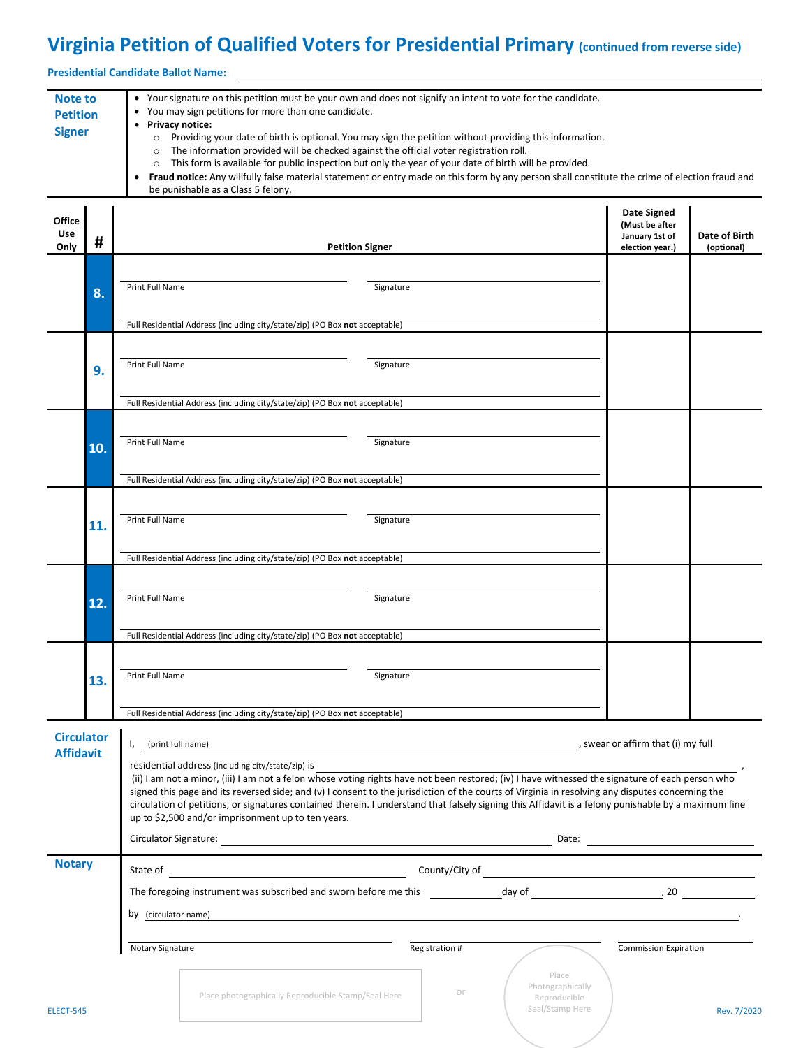## **Virginia Petition of Qualified Voters for Presidential Primary (continued from reverse side)**

**Presidential Candidate Ballot Name:**

| <b>Note to</b><br><b>Petition</b><br><b>Signer</b> |     | • Your signature on this petition must be your own and does not signify an intent to vote for the candidate.<br>You may sign petitions for more than one candidate.<br>$\bullet$<br>• Privacy notice:<br>Providing your date of birth is optional. You may sign the petition without providing this information.<br>$\circ$<br>The information provided will be checked against the official voter registration roll.<br>$\circ$<br>This form is available for public inspection but only the year of your date of birth will be provided.<br>$\circ$<br>Fraud notice: Any willfully false material statement or entry made on this form by any person shall constitute the crime of election fraud and<br>be punishable as a Class 5 felony. |                                                                             |           |                |                                                              |                                                                           |                             |  |
|----------------------------------------------------|-----|-----------------------------------------------------------------------------------------------------------------------------------------------------------------------------------------------------------------------------------------------------------------------------------------------------------------------------------------------------------------------------------------------------------------------------------------------------------------------------------------------------------------------------------------------------------------------------------------------------------------------------------------------------------------------------------------------------------------------------------------------|-----------------------------------------------------------------------------|-----------|----------------|--------------------------------------------------------------|---------------------------------------------------------------------------|-----------------------------|--|
| <b>Office</b><br><b>Use</b><br>Only                | #   | <b>Petition Signer</b>                                                                                                                                                                                                                                                                                                                                                                                                                                                                                                                                                                                                                                                                                                                        |                                                                             |           |                |                                                              | <b>Date Signed</b><br>(Must be after<br>January 1st of<br>election year.) | Date of Birth<br>(optional) |  |
|                                                    | 8.  | Print Full Name                                                                                                                                                                                                                                                                                                                                                                                                                                                                                                                                                                                                                                                                                                                               |                                                                             | Signature |                |                                                              |                                                                           |                             |  |
|                                                    |     | Full Residential Address (including city/state/zip) (PO Box not acceptable)                                                                                                                                                                                                                                                                                                                                                                                                                                                                                                                                                                                                                                                                   |                                                                             |           |                |                                                              |                                                                           |                             |  |
|                                                    | 9.  | Print Full Name                                                                                                                                                                                                                                                                                                                                                                                                                                                                                                                                                                                                                                                                                                                               |                                                                             | Signature |                |                                                              |                                                                           |                             |  |
|                                                    |     |                                                                                                                                                                                                                                                                                                                                                                                                                                                                                                                                                                                                                                                                                                                                               | Full Residential Address (including city/state/zip) (PO Box not acceptable) |           |                |                                                              |                                                                           |                             |  |
|                                                    | 10. | Print Full Name                                                                                                                                                                                                                                                                                                                                                                                                                                                                                                                                                                                                                                                                                                                               |                                                                             | Signature |                |                                                              |                                                                           |                             |  |
|                                                    |     |                                                                                                                                                                                                                                                                                                                                                                                                                                                                                                                                                                                                                                                                                                                                               | Full Residential Address (including city/state/zip) (PO Box not acceptable) |           |                |                                                              |                                                                           |                             |  |
|                                                    | 11. | Print Full Name                                                                                                                                                                                                                                                                                                                                                                                                                                                                                                                                                                                                                                                                                                                               |                                                                             | Signature |                |                                                              |                                                                           |                             |  |
|                                                    |     |                                                                                                                                                                                                                                                                                                                                                                                                                                                                                                                                                                                                                                                                                                                                               | Full Residential Address (including city/state/zip) (PO Box not acceptable) |           |                |                                                              |                                                                           |                             |  |
|                                                    | 12. | Print Full Name                                                                                                                                                                                                                                                                                                                                                                                                                                                                                                                                                                                                                                                                                                                               |                                                                             | Signature |                |                                                              |                                                                           |                             |  |
|                                                    |     | Full Residential Address (including city/state/zip) (PO Box not acceptable)                                                                                                                                                                                                                                                                                                                                                                                                                                                                                                                                                                                                                                                                   |                                                                             |           |                |                                                              |                                                                           |                             |  |
|                                                    | 13. | Print Full Name                                                                                                                                                                                                                                                                                                                                                                                                                                                                                                                                                                                                                                                                                                                               |                                                                             | Signature |                |                                                              |                                                                           |                             |  |
|                                                    |     |                                                                                                                                                                                                                                                                                                                                                                                                                                                                                                                                                                                                                                                                                                                                               | Full Residential Address (including city/state/zip) (PO Box not acceptable) |           |                |                                                              |                                                                           |                             |  |
| <b>Circulator</b><br><b>Affidavit</b>              |     | (print full name)<br>I,                                                                                                                                                                                                                                                                                                                                                                                                                                                                                                                                                                                                                                                                                                                       |                                                                             |           |                | <u> 1980 - Johann Stein, fransk politik (d. 1980)</u>        | , swear or affirm that (i) my full                                        |                             |  |
|                                                    |     | residential address (including city/state/zip) is<br>(ii) I am not a minor, (iii) I am not a felon whose voting rights have not been restored; (iv) I have witnessed the signature of each person who<br>signed this page and its reversed side; and (v) I consent to the jurisdiction of the courts of Virginia in resolving any disputes concerning the<br>circulation of petitions, or signatures contained therein. I understand that falsely signing this Affidavit is a felony punishable by a maximum fine<br>up to \$2,500 and/or imprisonment up to ten years.                                                                                                                                                                       |                                                                             |           |                |                                                              |                                                                           |                             |  |
|                                                    |     |                                                                                                                                                                                                                                                                                                                                                                                                                                                                                                                                                                                                                                                                                                                                               |                                                                             |           |                |                                                              |                                                                           |                             |  |
| <b>Notary</b>                                      |     |                                                                                                                                                                                                                                                                                                                                                                                                                                                                                                                                                                                                                                                                                                                                               |                                                                             |           |                |                                                              |                                                                           |                             |  |
| <b>ELECT-545</b>                                   |     |                                                                                                                                                                                                                                                                                                                                                                                                                                                                                                                                                                                                                                                                                                                                               |                                                                             |           |                |                                                              |                                                                           |                             |  |
|                                                    |     | by (circulator name)                                                                                                                                                                                                                                                                                                                                                                                                                                                                                                                                                                                                                                                                                                                          |                                                                             |           |                |                                                              |                                                                           |                             |  |
|                                                    |     | Notary Signature                                                                                                                                                                                                                                                                                                                                                                                                                                                                                                                                                                                                                                                                                                                              |                                                                             |           | Registration # |                                                              | <b>Commission Expiration</b>                                              |                             |  |
|                                                    |     |                                                                                                                                                                                                                                                                                                                                                                                                                                                                                                                                                                                                                                                                                                                                               | Place photographically Reproducible Stamp/Seal Here                         |           | or             | Place<br>Photographically<br>Reproducible<br>Seal/Stamp Here |                                                                           | Rev. 7/2020                 |  |